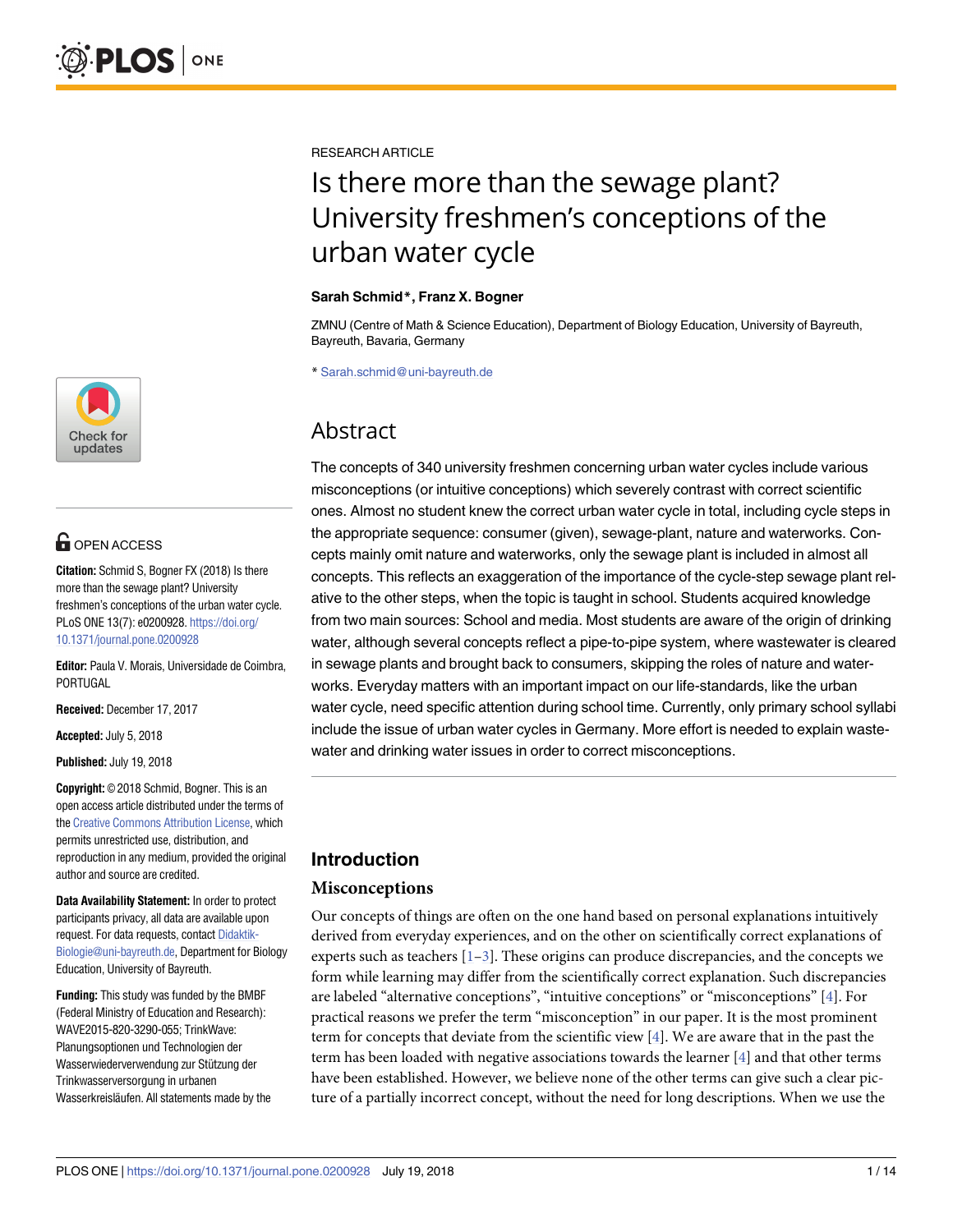

# **OPEN ACCESS**

**Citation:** Schmid S, Bogner FX (2018) Is there more than the sewage plant? University freshmen's conceptions of the urban water cycle. PLoS ONE 13(7): e0200928. [https://doi.org/](https://doi.org/10.1371/journal.pone.0200928) [10.1371/journal.pone.0200928](https://doi.org/10.1371/journal.pone.0200928)

**Editor:** Paula V. Morais, Universidade de Coimbra, PORTUGAL

**Received:** December 17, 2017

**Accepted:** July 5, 2018

**Published:** July 19, 2018

**Copyright:** © 2018 Schmid, Bogner. This is an open access article distributed under the terms of the Creative [Commons](http://creativecommons.org/licenses/by/4.0/) Attribution License, which permits unrestricted use, distribution, and reproduction in any medium, provided the original author and source are credited.

**Data Availability Statement:** In order to protect participants privacy, all data are available upon request. For data requests, contact [Didaktik-](mailto:Didaktik-Biologie@uni-bayreuth.de)[Biologie@uni-bayreuth.de](mailto:Didaktik-Biologie@uni-bayreuth.de), Department for Biology Education, University of Bayreuth.

**Funding:** This study was funded by the BMBF (Federal Ministry of Education and Research): WAVE2015-820-3290-055; TrinkWave: Planungsoptionen und Technologien der Wasserwiederverwendung zur Stützung der Trinkwasserversorgung in urbanen Wasserkreisläufen. All statements made by the <span id="page-0-0"></span>RESEARCH ARTICLE

# Is there more than the sewage plant? University freshmen's conceptions of the urban water cycle

#### **Sarah Schmid\*, Franz X. Bogner**

ZMNU (Centre of Math & Science Education), Department of Biology Education, University of Bayreuth, Bayreuth, Bavaria, Germany

\* Sarah.schmid@uni-bayreuth.de

# Abstract

The concepts of 340 university freshmen concerning urban water cycles include various misconceptions (or intuitive conceptions) which severely contrast with correct scientific ones. Almost no student knew the correct urban water cycle in total, including cycle steps in the appropriate sequence: consumer (given), sewage-plant, nature and waterworks. Concepts mainly omit nature and waterworks, only the sewage plant is included in almost all concepts. This reflects an exaggeration of the importance of the cycle-step sewage plant relative to the other steps, when the topic is taught in school. Students acquired knowledge from two main sources: School and media. Most students are aware of the origin of drinking water, although several concepts reflect a pipe-to-pipe system, where wastewater is cleared in sewage plants and brought back to consumers, skipping the roles of nature and waterworks. Everyday matters with an important impact on our life-standards, like the urban water cycle, need specific attention during school time. Currently, only primary school syllabi include the issue of urban water cycles in Germany. More effort is needed to explain wastewater and drinking water issues in order to correct misconceptions.

# **Introduction**

# **Misconceptions**

Our concepts of things are often on the one hand based on personal explanations intuitively derived from everyday experiences, and on the other on scientifically correct explanations of experts such as teachers  $[1-3]$ . These origins can produce discrepancies, and the concepts we form while learning may differ from the scientifically correct explanation. Such discrepancies are labeled "alternative conceptions", "intuitive conceptions" or "misconceptions" [[4](#page-11-0)]. For practical reasons we prefer the term "misconception" in our paper. It is the most prominent term for concepts that deviate from the scientific view [\[4\]](#page-11-0). We are aware that in the past the term has been loaded with negative associations towards the learner [[4](#page-11-0)] and that other terms have been established. However, we believe none of the other terms can give such a clear picture of a partially incorrect concept, without the need for long descriptions. When we use the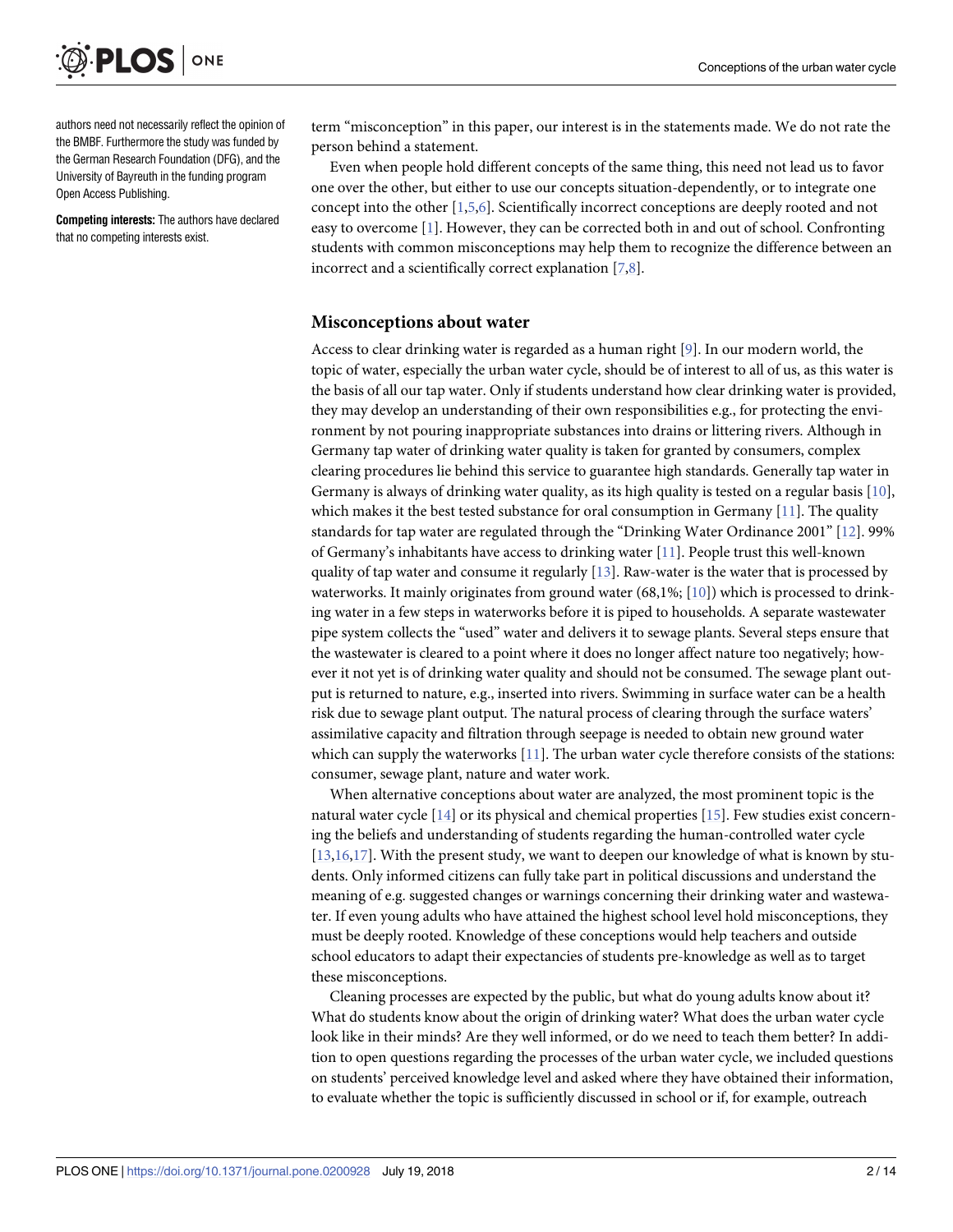<span id="page-1-0"></span>

authors need not necessarily reflect the opinion of the BMBF. Furthermore the study was funded by the German Research Foundation (DFG), and the University of Bayreuth in the funding program Open Access Publishing.

**Competing interests:** The authors have declared that no competing interests exist.

term "misconception" in this paper, our interest is in the statements made. We do not rate the person behind a statement.

Even when people hold different concepts of the same thing, this need not lead us to favor one over the other, but either to use our concepts situation-dependently, or to integrate one concept into the other [[1](#page-11-0),[5](#page-11-0),[6](#page-11-0)]. Scientifically incorrect conceptions are deeply rooted and not easy to overcome [\[1\]](#page-11-0). However, they can be corrected both in and out of school. Confronting students with common misconceptions may help them to recognize the difference between an incorrect and a scientifically correct explanation [[7,8\]](#page-11-0).

#### **Misconceptions about water**

Access to clear drinking water is regarded as a human right [\[9](#page-11-0)]. In our modern world, the topic of water, especially the urban water cycle, should be of interest to all of us, as this water is the basis of all our tap water. Only if students understand how clear drinking water is provided, they may develop an understanding of their own responsibilities e.g., for protecting the environment by not pouring inappropriate substances into drains or littering rivers. Although in Germany tap water of drinking water quality is taken for granted by consumers, complex clearing procedures lie behind this service to guarantee high standards. Generally tap water in Germany is always of drinking water quality, as its high quality is tested on a regular basis [\[10\]](#page-11-0), which makes it the best tested substance for oral consumption in Germany [\[11](#page-11-0)]. The quality standards for tap water are regulated through the "Drinking Water Ordinance 2001" [[12](#page-11-0)]. 99% of Germany's inhabitants have access to drinking water [\[11\]](#page-11-0). People trust this well-known quality of tap water and consume it regularly [\[13\]](#page-12-0). Raw-water is the water that is processed by waterworks. It mainly originates from ground water (68,1%; [\[10\]](#page-11-0)) which is processed to drinking water in a few steps in waterworks before it is piped to households. A separate wastewater pipe system collects the "used" water and delivers it to sewage plants. Several steps ensure that the wastewater is cleared to a point where it does no longer affect nature too negatively; however it not yet is of drinking water quality and should not be consumed. The sewage plant output is returned to nature, e.g., inserted into rivers. Swimming in surface water can be a health risk due to sewage plant output. The natural process of clearing through the surface waters' assimilative capacity and filtration through seepage is needed to obtain new ground water which can supply the waterworks [[11](#page-11-0)]. The urban water cycle therefore consists of the stations: consumer, sewage plant, nature and water work.

When alternative conceptions about water are analyzed, the most prominent topic is the natural water cycle [\[14\]](#page-12-0) or its physical and chemical properties [[15](#page-12-0)]. Few studies exist concerning the beliefs and understanding of students regarding the human-controlled water cycle [\[13,16,17](#page-12-0)]. With the present study, we want to deepen our knowledge of what is known by students. Only informed citizens can fully take part in political discussions and understand the meaning of e.g. suggested changes or warnings concerning their drinking water and wastewater. If even young adults who have attained the highest school level hold misconceptions, they must be deeply rooted. Knowledge of these conceptions would help teachers and outside school educators to adapt their expectancies of students pre-knowledge as well as to target these misconceptions.

Cleaning processes are expected by the public, but what do young adults know about it? What do students know about the origin of drinking water? What does the urban water cycle look like in their minds? Are they well informed, or do we need to teach them better? In addition to open questions regarding the processes of the urban water cycle, we included questions on students' perceived knowledge level and asked where they have obtained their information, to evaluate whether the topic is sufficiently discussed in school or if, for example, outreach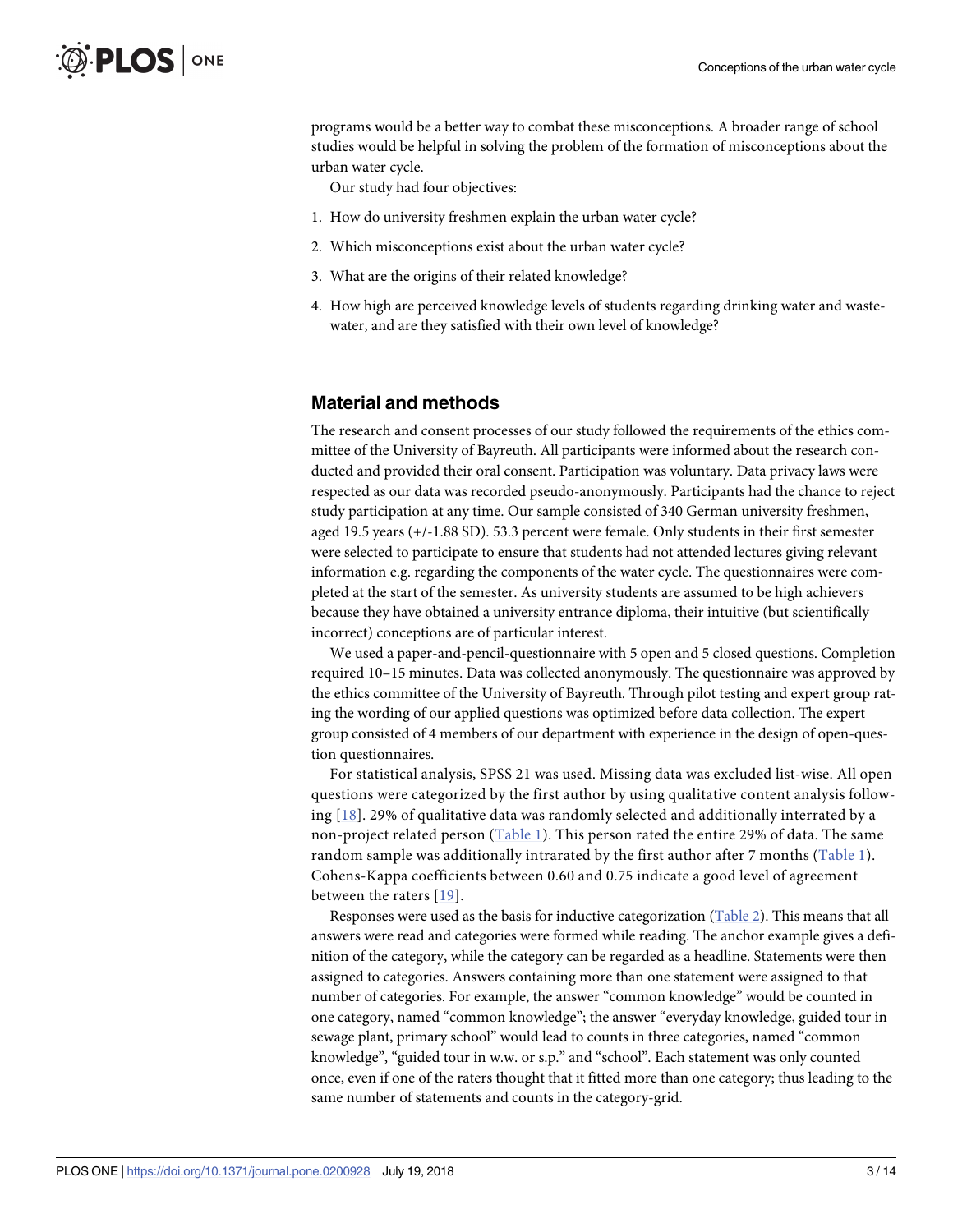<span id="page-2-0"></span>programs would be a better way to combat these misconceptions. A broader range of school studies would be helpful in solving the problem of the formation of misconceptions about the urban water cycle.

Our study had four objectives:

- 1. How do university freshmen explain the urban water cycle?
- 2. Which misconceptions exist about the urban water cycle?
- 3. What are the origins of their related knowledge?
- 4. How high are perceived knowledge levels of students regarding drinking water and wastewater, and are they satisfied with their own level of knowledge?

### **Material and methods**

The research and consent processes of our study followed the requirements of the ethics committee of the University of Bayreuth. All participants were informed about the research conducted and provided their oral consent. Participation was voluntary. Data privacy laws were respected as our data was recorded pseudo-anonymously. Participants had the chance to reject study participation at any time. Our sample consisted of 340 German university freshmen, aged 19.5 years (+/-1.88 SD). 53.3 percent were female. Only students in their first semester were selected to participate to ensure that students had not attended lectures giving relevant information e.g. regarding the components of the water cycle. The questionnaires were completed at the start of the semester. As university students are assumed to be high achievers because they have obtained a university entrance diploma, their intuitive (but scientifically incorrect) conceptions are of particular interest.

We used a paper-and-pencil-questionnaire with 5 open and 5 closed questions. Completion required 10–15 minutes. Data was collected anonymously. The questionnaire was approved by the ethics committee of the University of Bayreuth. Through pilot testing and expert group rating the wording of our applied questions was optimized before data collection. The expert group consisted of 4 members of our department with experience in the design of open-question questionnaires.

For statistical analysis, SPSS 21 was used. Missing data was excluded list-wise. All open questions were categorized by the first author by using qualitative content analysis following [\[18](#page-12-0)]. 29% of qualitative data was randomly selected and additionally interrated by a non-project related person ([Table](#page-3-0) 1). This person rated the entire 29% of data. The same random sample was additionally intrarated by the first author after 7 months ([Table](#page-3-0) 1). Cohens-Kappa coefficients between 0.60 and 0.75 indicate a good level of agreement between the raters [\[19](#page-12-0)].

Responses were used as the basis for inductive categorization [\(Table](#page-3-0) 2). This means that all answers were read and categories were formed while reading. The anchor example gives a definition of the category, while the category can be regarded as a headline. Statements were then assigned to categories. Answers containing more than one statement were assigned to that number of categories. For example, the answer "common knowledge" would be counted in one category, named "common knowledge"; the answer "everyday knowledge, guided tour in sewage plant, primary school" would lead to counts in three categories, named "common knowledge", "guided tour in w.w. or s.p." and "school". Each statement was only counted once, even if one of the raters thought that it fitted more than one category; thus leading to the same number of statements and counts in the category-grid.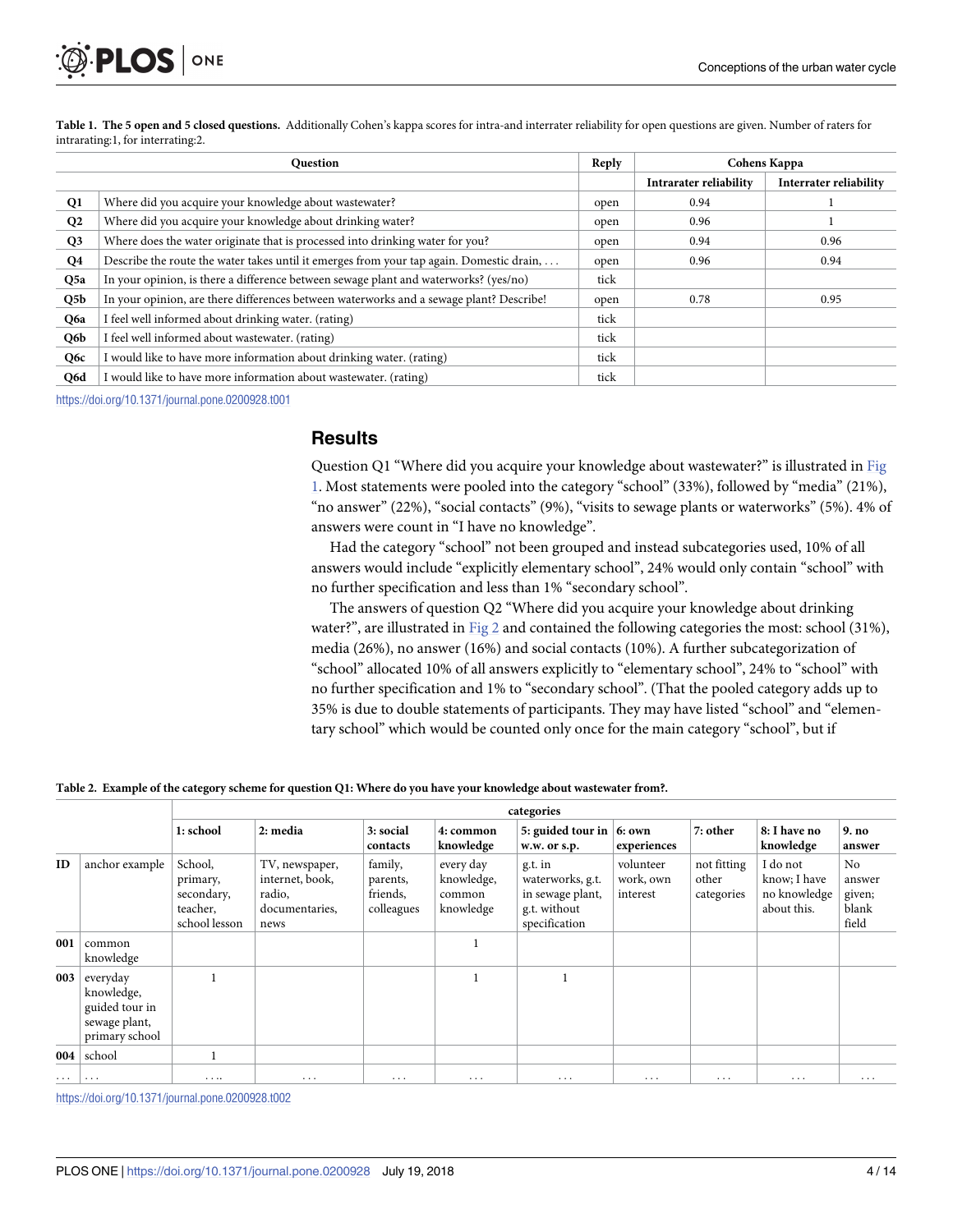<span id="page-3-0"></span>

[Table](#page-2-0) 1. The 5 open and 5 closed questions. Additionally Cohen's kappa scores for intra-and interrater reliability for open questions are given. Number of raters for intrarating:1, for interrating:2.

|                  | <b>Question</b>                                                                          | Reply | Cohens Kappa           |                        |  |
|------------------|------------------------------------------------------------------------------------------|-------|------------------------|------------------------|--|
|                  |                                                                                          |       | Intrarater reliability | Interrater reliability |  |
| Q1               | Where did you acquire your knowledge about wastewater?                                   | open  | 0.94                   |                        |  |
| Q <sub>2</sub>   | Where did you acquire your knowledge about drinking water?                               | open  | 0.96                   |                        |  |
| Q <sub>3</sub>   | Where does the water originate that is processed into drinking water for you?            | open  | 0.94                   | 0.96                   |  |
| Q4               | Describe the route the water takes until it emerges from your tap again. Domestic drain, | open  | 0.96                   | 0.94                   |  |
| Q <sub>5</sub> a | In your opinion, is there a difference between sewage plant and waterworks? (yes/no)     | tick  |                        |                        |  |
| Q5b              | In your opinion, are there differences between waterworks and a sewage plant? Describe!  | open  | 0.78                   | 0.95                   |  |
| Q6a              | I feel well informed about drinking water. (rating)                                      | tick  |                        |                        |  |
| Q6b              | I feel well informed about wastewater. (rating)                                          | tick  |                        |                        |  |
| Q6c              | I would like to have more information about drinking water. (rating)                     | tick  |                        |                        |  |
| Q6d              | I would like to have more information about wastewater. (rating)                         | tick  |                        |                        |  |

<https://doi.org/10.1371/journal.pone.0200928.t001>

# **Results**

Question Q1 "Where did you acquire your knowledge about wastewater?" is illustrated in [Fig](#page-4-0) [1.](#page-4-0) Most statements were pooled into the category "school" (33%), followed by "media" (21%), "no answer" (22%), "social contacts" (9%), "visits to sewage plants or waterworks" (5%). 4% of answers were count in "I have no knowledge".

Had the category "school" not been grouped and instead subcategories used, 10% of all answers would include "explicitly elementary school", 24% would only contain "school" with no further specification and less than 1% "secondary school".

The answers of question Q2 "Where did you acquire your knowledge about drinking water?", are illustrated in [Fig](#page-4-0) 2 and contained the following categories the most: school (31%), media (26%), no answer (16%) and social contacts (10%). A further subcategorization of "school" allocated 10% of all answers explicitly to "elementary school", 24% to "school" with no further specification and 1% to "secondary school". (That the pooled category adds up to 35% is due to double statements of participants. They may have listed "school" and "elementary school" which would be counted only once for the main category "school", but if

[Table](#page-2-0) 2. Example of the category scheme for question Q1: Where do you have your knowledge about wastewater from?.

|     |                                                                             | categories                                                     |                                                                       |                                               |                                                |                                                                                  |                                    |                                    |                                                         |                                          |  |
|-----|-----------------------------------------------------------------------------|----------------------------------------------------------------|-----------------------------------------------------------------------|-----------------------------------------------|------------------------------------------------|----------------------------------------------------------------------------------|------------------------------------|------------------------------------|---------------------------------------------------------|------------------------------------------|--|
|     |                                                                             | 1: school                                                      | 2: media                                                              | 3: social<br>contacts                         | 4: common<br>knowledge                         | 5: guided tour in $\vert$ 6: own<br>w.w. or s.p.                                 | experiences                        | 7: other                           | 8: I have no<br>knowledge                               | 9. no<br>answer                          |  |
| ID  | anchor example                                                              | School,<br>primary,<br>secondary,<br>teacher,<br>school lesson | TV, newspaper,<br>internet, book,<br>radio,<br>documentaries,<br>news | family,<br>parents,<br>friends,<br>colleagues | every day<br>knowledge,<br>common<br>knowledge | g.t. in<br>waterworks, g.t.<br>in sewage plant,<br>g.t. without<br>specification | volunteer<br>work, own<br>interest | not fitting<br>other<br>categories | I do not<br>know; I have<br>no knowledge<br>about this. | No<br>answer<br>given;<br>blank<br>field |  |
| 001 | common<br>knowledge                                                         |                                                                |                                                                       |                                               |                                                |                                                                                  |                                    |                                    |                                                         |                                          |  |
| 003 | everyday<br>knowledge,<br>guided tour in<br>sewage plant,<br>primary school |                                                                |                                                                       |                                               |                                                |                                                                                  |                                    |                                    |                                                         |                                          |  |
| 004 | school                                                                      |                                                                |                                                                       |                                               |                                                |                                                                                  |                                    |                                    |                                                         |                                          |  |
| .   | $\cdots$                                                                    | $\cdots$                                                       | $\cdots$                                                              | $\cdots$                                      | $\cdots$                                       | $\cdots$                                                                         | $\cdots$                           | $\cdots$                           | $\cdots$                                                | $\cdots$                                 |  |

<https://doi.org/10.1371/journal.pone.0200928.t002>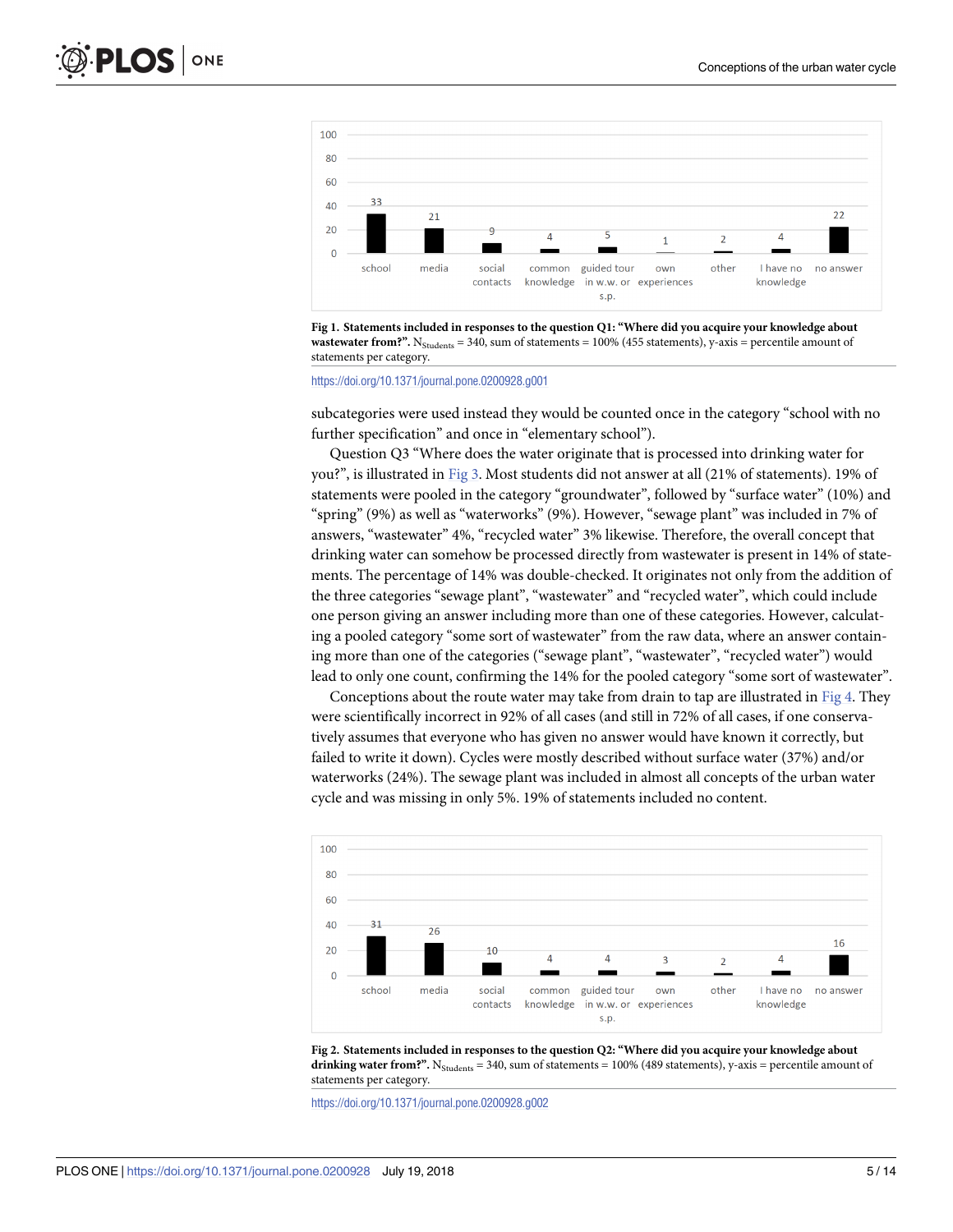<span id="page-4-0"></span>

**[Fig](#page-3-0) 1. Statements included in responses to the question Q1: "Where did you acquire your knowledge about** wastewater from?". N<sub>Students</sub> = 340, sum of statements = 100% (455 statements), y-axis = percentile amount of statements per category.

<https://doi.org/10.1371/journal.pone.0200928.g001>

subcategories were used instead they would be counted once in the category "school with no further specification" and once in "elementary school").

Question Q3 "Where does the water originate that is processed into drinking water for you?", is illustrated in [Fig](#page-5-0) 3. Most students did not answer at all (21% of statements). 19% of statements were pooled in the category "groundwater", followed by "surface water" (10%) and "spring" (9%) as well as "waterworks" (9%). However, "sewage plant" was included in 7% of answers, "wastewater" 4%, "recycled water" 3% likewise. Therefore, the overall concept that drinking water can somehow be processed directly from wastewater is present in 14% of statements. The percentage of 14% was double-checked. It originates not only from the addition of the three categories "sewage plant", "wastewater" and "recycled water", which could include one person giving an answer including more than one of these categories. However, calculating a pooled category "some sort of wastewater" from the raw data, where an answer containing more than one of the categories ("sewage plant", "wastewater", "recycled water") would lead to only one count, confirming the 14% for the pooled category "some sort of wastewater".

Conceptions about the route water may take from drain to tap are illustrated in [Fig](#page-5-0) 4. They were scientifically incorrect in 92% of all cases (and still in 72% of all cases, if one conservatively assumes that everyone who has given no answer would have known it correctly, but failed to write it down). Cycles were mostly described without surface water (37%) and/or waterworks (24%). The sewage plant was included in almost all concepts of the urban water cycle and was missing in only 5%. 19% of statements included no content.



**[Fig](#page-3-0) 2. Statements included in responses to the question Q2: "Where did you acquire your knowledge about drinking water from?".** N<sub>Students</sub> = 340, sum of statements = 100% (489 statements), y-axis = percentile amount of statements per category.

<https://doi.org/10.1371/journal.pone.0200928.g002>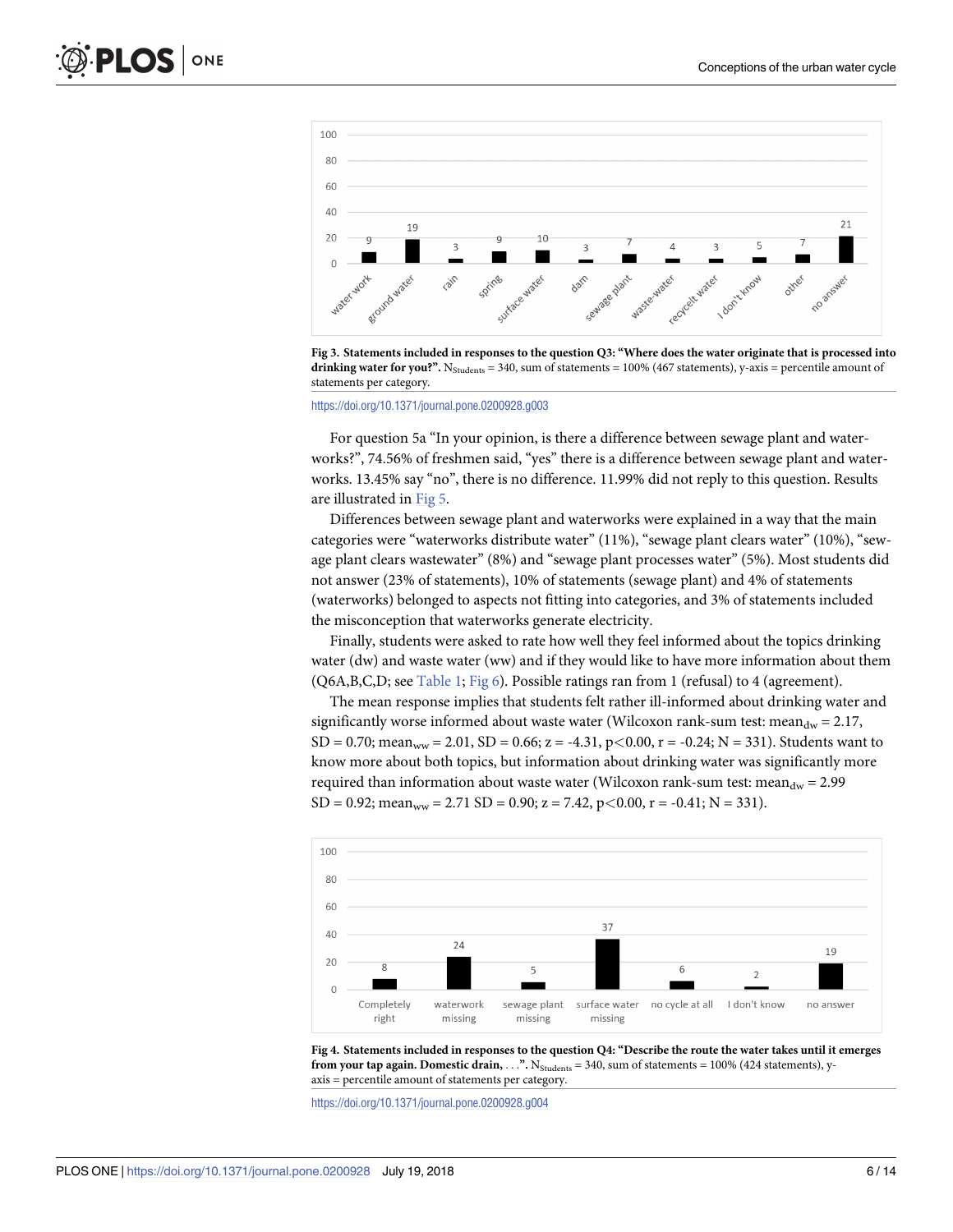<span id="page-5-0"></span>

[Fig](#page-4-0) 3. Statements included in responses to the question Q3: "Where does the water originate that is processed into **drinking water for you?".** NStudents = 340, sum of statements = 100% (467 statements), y-axis = percentile amount of statements per category.

<https://doi.org/10.1371/journal.pone.0200928.g003>

For question 5a "In your opinion, is there a difference between sewage plant and waterworks?", 74.56% of freshmen said, "yes" there is a difference between sewage plant and waterworks. 13.45% say "no", there is no difference. 11.99% did not reply to this question. Results are illustrated in [Fig](#page-6-0) 5.

Differences between sewage plant and waterworks were explained in a way that the main categories were "waterworks distribute water" (11%), "sewage plant clears water" (10%), "sewage plant clears wastewater" (8%) and "sewage plant processes water" (5%). Most students did not answer (23% of statements), 10% of statements (sewage plant) and 4% of statements (waterworks) belonged to aspects not fitting into categories, and 3% of statements included the misconception that waterworks generate electricity.

Finally, students were asked to rate how well they feel informed about the topics drinking water (dw) and waste water (ww) and if they would like to have more information about them (Q6A,B,C,D; see [Table](#page-3-0) 1; [Fig](#page-6-0) 6). Possible ratings ran from 1 (refusal) to 4 (agreement).

The mean response implies that students felt rather ill-informed about drinking water and significantly worse informed about waste water (Wilcoxon rank-sum test: mean<sub>dw</sub> = 2.17, SD = 0.70; meanww = 2.01, SD = 0.66; z = -4.31, p*<*0.00, r = -0.24; N = 331). Students want to know more about both topics, but information about drinking water was significantly more required than information about waste water (Wilcoxon rank-sum test: mean<sub>dw</sub> = 2.99  $SD = 0.92$ ; mean<sub>ww</sub> = 2.71  $SD = 0.90$ ; z = 7.42, p < 0.00, r = -0.41; N = 331).



[Fig](#page-4-0) 4. Statements included in responses to the question Q4: "Describe the route the water takes until it emerges **from your tap again. Domestic drain,** . . .**".** NStudents = 340, sum of statements = 100% (424 statements), yaxis = percentile amount of statements per category.

<https://doi.org/10.1371/journal.pone.0200928.g004>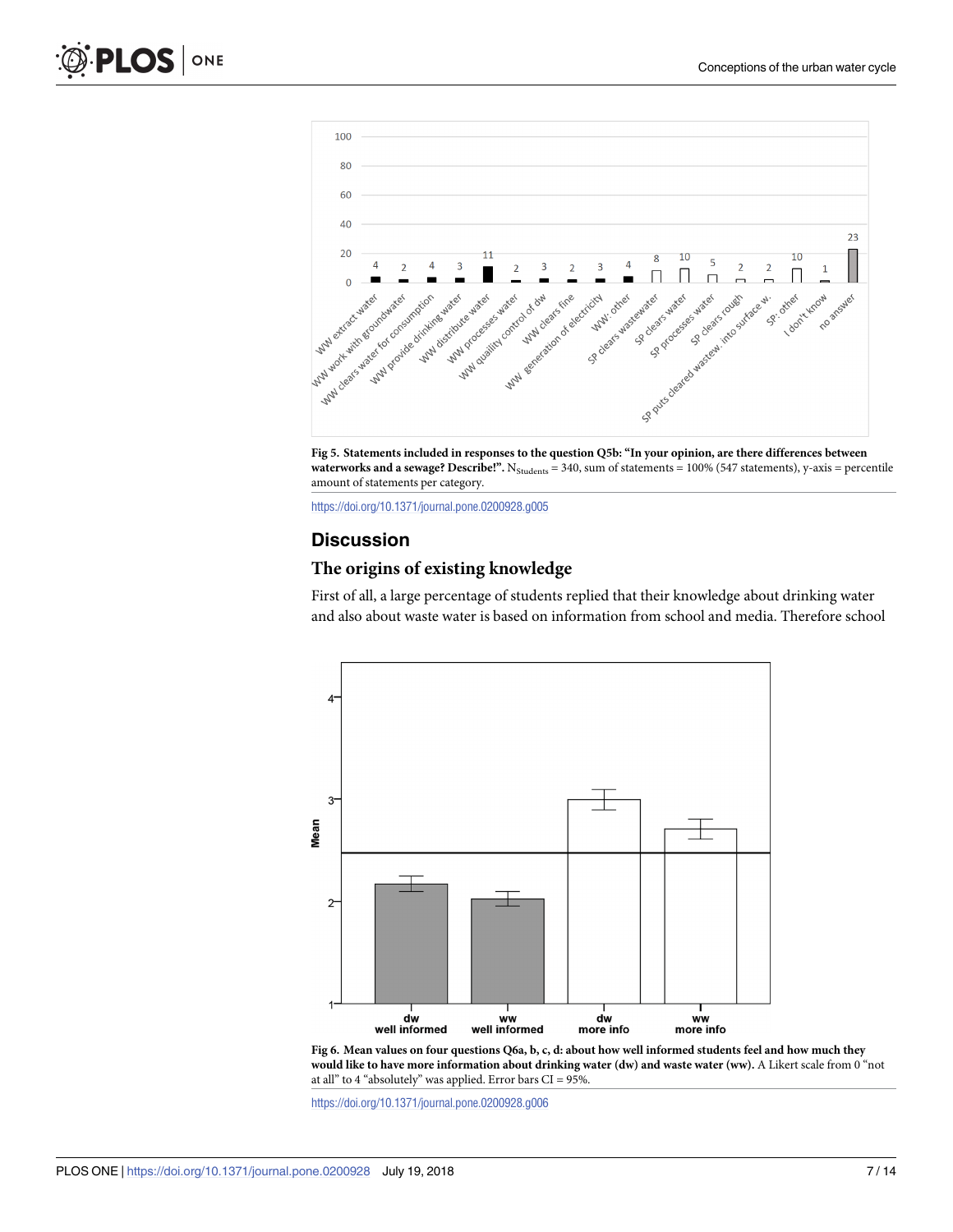<span id="page-6-0"></span>

[Fig](#page-5-0) 5. Statements included in responses to the question Q5b: "In your opinion, are there differences between **waterworks and a sewage? Describe!".** N<sub>Students</sub> = 340, sum of statements = 100% (547 statements), y-axis = percentile amount of statements per category.

<https://doi.org/10.1371/journal.pone.0200928.g005>

# **Discussion**

# **The origins of existing knowledge**

First of all, a large percentage of students replied that their knowledge about drinking water and also about waste water is based on information from school and media. Therefore school



[Fig](#page-5-0) 6. Mean values on four questions Q6a, b, c, d: about how well informed students feel and how much they **would like to have more information about drinking water (dw) and waste water (ww).** A Likert scale from 0 "not at all" to 4 "absolutely" was applied. Error bars CI = 95%.

<https://doi.org/10.1371/journal.pone.0200928.g006>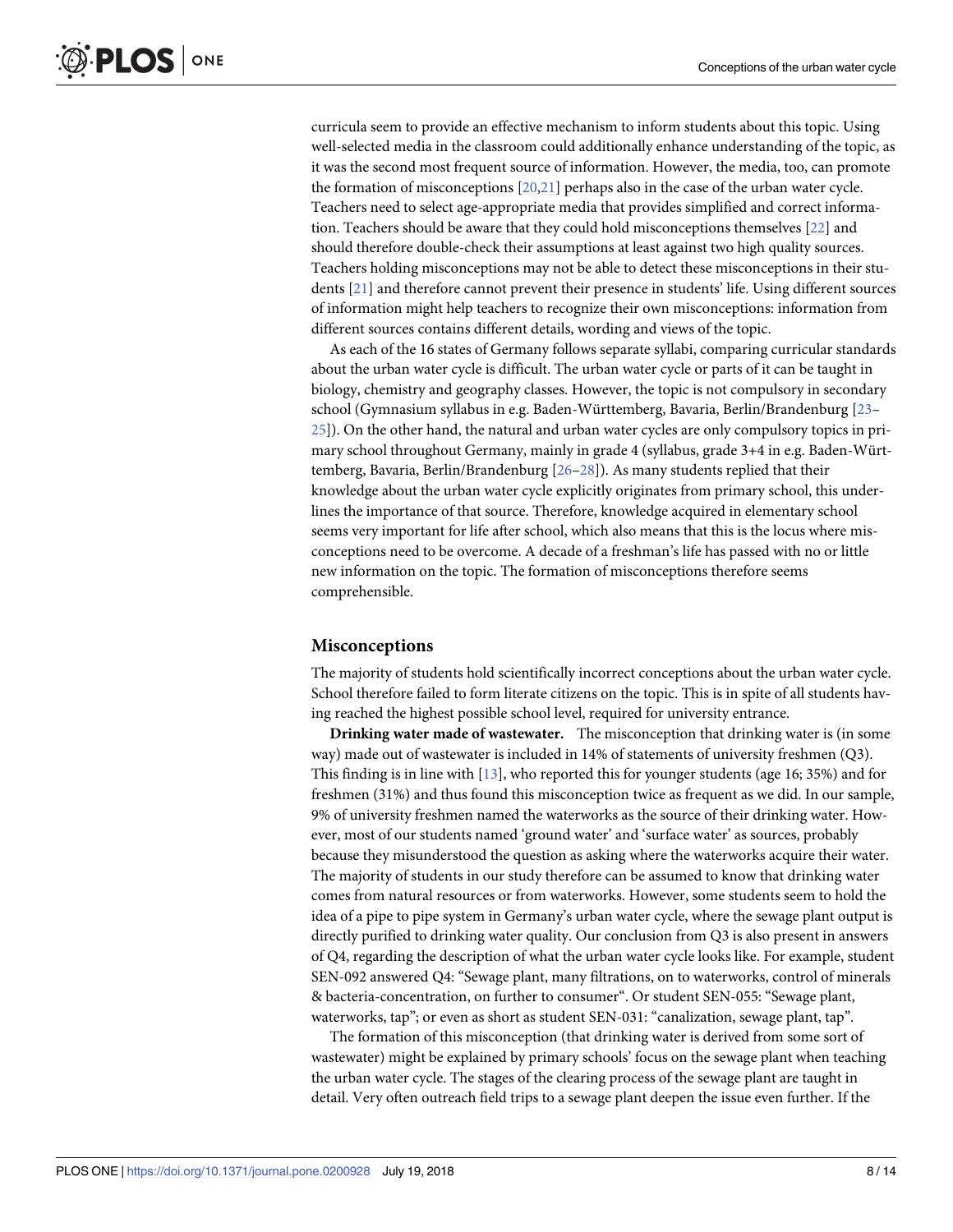<span id="page-7-0"></span>curricula seem to provide an effective mechanism to inform students about this topic. Using well-selected media in the classroom could additionally enhance understanding of the topic, as it was the second most frequent source of information. However, the media, too, can promote the formation of misconceptions [[20](#page-12-0),[21](#page-12-0)] perhaps also in the case of the urban water cycle. Teachers need to select age-appropriate media that provides simplified and correct information. Teachers should be aware that they could hold misconceptions themselves [[22](#page-12-0)] and should therefore double-check their assumptions at least against two high quality sources. Teachers holding misconceptions may not be able to detect these misconceptions in their students [\[21\]](#page-12-0) and therefore cannot prevent their presence in students' life. Using different sources of information might help teachers to recognize their own misconceptions: information from different sources contains different details, wording and views of the topic.

As each of the 16 states of Germany follows separate syllabi, comparing curricular standards about the urban water cycle is difficult. The urban water cycle or parts of it can be taught in biology, chemistry and geography classes. However, the topic is not compulsory in secondary school (Gymnasium syllabus in e.g. Baden-Württemberg, Bavaria, Berlin/Brandenburg [[23](#page-12-0)-[25\]](#page-12-0)). On the other hand, the natural and urban water cycles are only compulsory topics in primary school throughout Germany, mainly in grade 4 (syllabus, grade 3+4 in e.g. Baden-Württemberg, Bavaria, Berlin/Brandenburg  $[26-28]$ ). As many students replied that their knowledge about the urban water cycle explicitly originates from primary school, this underlines the importance of that source. Therefore, knowledge acquired in elementary school seems very important for life after school, which also means that this is the locus where misconceptions need to be overcome. A decade of a freshman's life has passed with no or little new information on the topic. The formation of misconceptions therefore seems comprehensible.

#### **Misconceptions**

The majority of students hold scientifically incorrect conceptions about the urban water cycle. School therefore failed to form literate citizens on the topic. This is in spite of all students having reached the highest possible school level, required for university entrance.

**Drinking water made of wastewater.** The misconception that drinking water is (in some way) made out of wastewater is included in 14% of statements of university freshmen (Q3). This finding is in line with [\[13\]](#page-12-0), who reported this for younger students (age 16; 35%) and for freshmen (31%) and thus found this misconception twice as frequent as we did. In our sample, 9% of university freshmen named the waterworks as the source of their drinking water. However, most of our students named 'ground water' and 'surface water' as sources, probably because they misunderstood the question as asking where the waterworks acquire their water. The majority of students in our study therefore can be assumed to know that drinking water comes from natural resources or from waterworks. However, some students seem to hold the idea of a pipe to pipe system in Germany's urban water cycle, where the sewage plant output is directly purified to drinking water quality. Our conclusion from Q3 is also present in answers of Q4, regarding the description of what the urban water cycle looks like. For example, student SEN-092 answered Q4: "Sewage plant, many filtrations, on to waterworks, control of minerals & bacteria-concentration, on further to consumer". Or student SEN-055: "Sewage plant, waterworks, tap"; or even as short as student SEN-031: "canalization, sewage plant, tap".

The formation of this misconception (that drinking water is derived from some sort of wastewater) might be explained by primary schools' focus on the sewage plant when teaching the urban water cycle. The stages of the clearing process of the sewage plant are taught in detail. Very often outreach field trips to a sewage plant deepen the issue even further. If the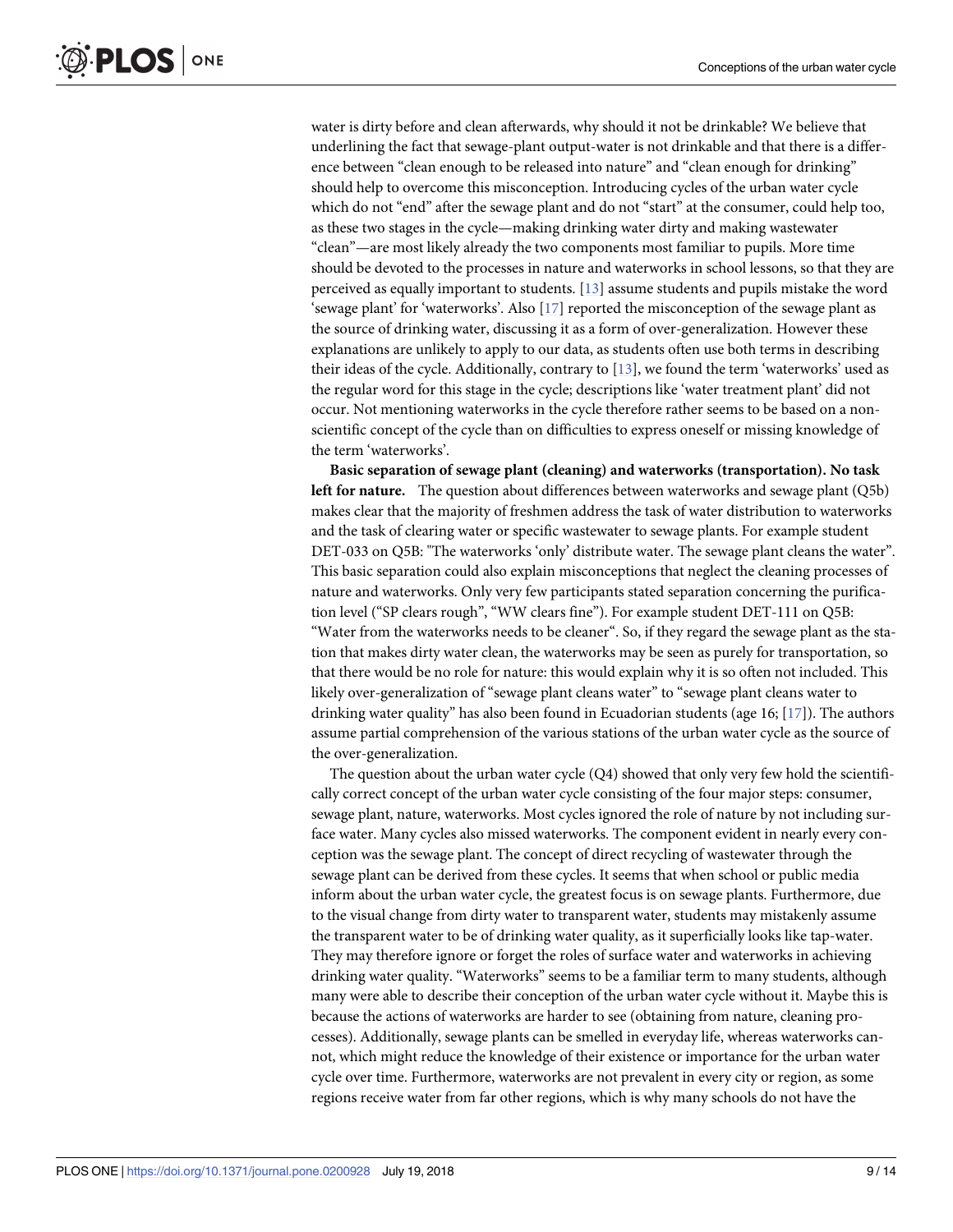water is dirty before and clean afterwards, why should it not be drinkable? We believe that underlining the fact that sewage-plant output-water is not drinkable and that there is a difference between "clean enough to be released into nature" and "clean enough for drinking" should help to overcome this misconception. Introducing cycles of the urban water cycle which do not "end" after the sewage plant and do not "start" at the consumer, could help too, as these two stages in the cycle—making drinking water dirty and making wastewater "clean"—are most likely already the two components most familiar to pupils. More time should be devoted to the processes in nature and waterworks in school lessons, so that they are perceived as equally important to students. [[13](#page-12-0)] assume students and pupils mistake the word 'sewage plant' for 'waterworks'. Also [[17](#page-12-0)] reported the misconception of the sewage plant as the source of drinking water, discussing it as a form of over-generalization. However these explanations are unlikely to apply to our data, as students often use both terms in describing their ideas of the cycle. Additionally, contrary to [[13](#page-12-0)], we found the term 'waterworks' used as the regular word for this stage in the cycle; descriptions like 'water treatment plant' did not occur. Not mentioning waterworks in the cycle therefore rather seems to be based on a nonscientific concept of the cycle than on difficulties to express oneself or missing knowledge of the term 'waterworks'.

**Basic separation of sewage plant (cleaning) and waterworks (transportation). No task left for nature.** The question about differences between waterworks and sewage plant (Q5b) makes clear that the majority of freshmen address the task of water distribution to waterworks and the task of clearing water or specific wastewater to sewage plants. For example student DET-033 on Q5B: "The waterworks 'only' distribute water. The sewage plant cleans the water". This basic separation could also explain misconceptions that neglect the cleaning processes of nature and waterworks. Only very few participants stated separation concerning the purification level ("SP clears rough", "WW clears fine"). For example student DET-111 on Q5B: "Water from the waterworks needs to be cleaner". So, if they regard the sewage plant as the station that makes dirty water clean, the waterworks may be seen as purely for transportation, so that there would be no role for nature: this would explain why it is so often not included. This likely over-generalization of "sewage plant cleans water" to "sewage plant cleans water to drinking water quality" has also been found in Ecuadorian students (age 16; [[17](#page-12-0)]). The authors assume partial comprehension of the various stations of the urban water cycle as the source of the over-generalization.

The question about the urban water cycle  $(Q4)$  showed that only very few hold the scientifically correct concept of the urban water cycle consisting of the four major steps: consumer, sewage plant, nature, waterworks. Most cycles ignored the role of nature by not including surface water. Many cycles also missed waterworks. The component evident in nearly every conception was the sewage plant. The concept of direct recycling of wastewater through the sewage plant can be derived from these cycles. It seems that when school or public media inform about the urban water cycle, the greatest focus is on sewage plants. Furthermore, due to the visual change from dirty water to transparent water, students may mistakenly assume the transparent water to be of drinking water quality, as it superficially looks like tap-water. They may therefore ignore or forget the roles of surface water and waterworks in achieving drinking water quality. "Waterworks" seems to be a familiar term to many students, although many were able to describe their conception of the urban water cycle without it. Maybe this is because the actions of waterworks are harder to see (obtaining from nature, cleaning processes). Additionally, sewage plants can be smelled in everyday life, whereas waterworks cannot, which might reduce the knowledge of their existence or importance for the urban water cycle over time. Furthermore, waterworks are not prevalent in every city or region, as some regions receive water from far other regions, which is why many schools do not have the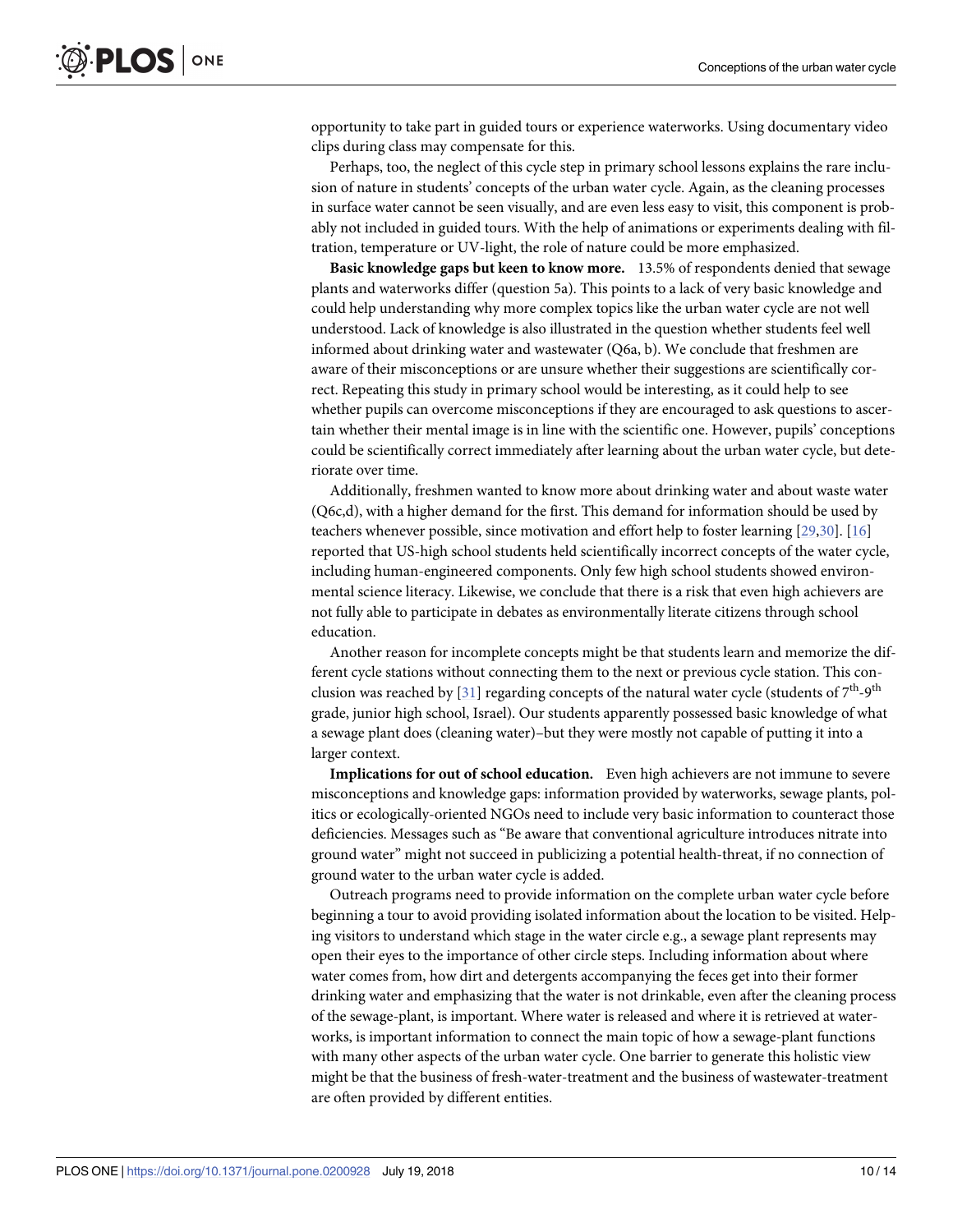<span id="page-9-0"></span>opportunity to take part in guided tours or experience waterworks. Using documentary video clips during class may compensate for this.

Perhaps, too, the neglect of this cycle step in primary school lessons explains the rare inclusion of nature in students' concepts of the urban water cycle. Again, as the cleaning processes in surface water cannot be seen visually, and are even less easy to visit, this component is probably not included in guided tours. With the help of animations or experiments dealing with filtration, temperature or UV-light, the role of nature could be more emphasized.

**Basic knowledge gaps but keen to know more.** 13.5% of respondents denied that sewage plants and waterworks differ (question 5a). This points to a lack of very basic knowledge and could help understanding why more complex topics like the urban water cycle are not well understood. Lack of knowledge is also illustrated in the question whether students feel well informed about drinking water and wastewater (Q6a, b). We conclude that freshmen are aware of their misconceptions or are unsure whether their suggestions are scientifically correct. Repeating this study in primary school would be interesting, as it could help to see whether pupils can overcome misconceptions if they are encouraged to ask questions to ascertain whether their mental image is in line with the scientific one. However, pupils' conceptions could be scientifically correct immediately after learning about the urban water cycle, but deteriorate over time.

Additionally, freshmen wanted to know more about drinking water and about waste water (Q6c,d), with a higher demand for the first. This demand for information should be used by teachers whenever possible, since motivation and effort help to foster learning [[29](#page-12-0),[30](#page-12-0)]. [\[16\]](#page-12-0) reported that US-high school students held scientifically incorrect concepts of the water cycle, including human-engineered components. Only few high school students showed environmental science literacy. Likewise, we conclude that there is a risk that even high achievers are not fully able to participate in debates as environmentally literate citizens through school education.

Another reason for incomplete concepts might be that students learn and memorize the different cycle stations without connecting them to the next or previous cycle station. This con-clusion was reached by [[31](#page-12-0)] regarding concepts of the natural water cycle (students of  $7<sup>th</sup>$ -9<sup>th</sup> grade, junior high school, Israel). Our students apparently possessed basic knowledge of what a sewage plant does (cleaning water)–but they were mostly not capable of putting it into a larger context.

**Implications for out of school education.** Even high achievers are not immune to severe misconceptions and knowledge gaps: information provided by waterworks, sewage plants, politics or ecologically-oriented NGOs need to include very basic information to counteract those deficiencies. Messages such as "Be aware that conventional agriculture introduces nitrate into ground water" might not succeed in publicizing a potential health-threat, if no connection of ground water to the urban water cycle is added.

Outreach programs need to provide information on the complete urban water cycle before beginning a tour to avoid providing isolated information about the location to be visited. Helping visitors to understand which stage in the water circle e.g., a sewage plant represents may open their eyes to the importance of other circle steps. Including information about where water comes from, how dirt and detergents accompanying the feces get into their former drinking water and emphasizing that the water is not drinkable, even after the cleaning process of the sewage-plant, is important. Where water is released and where it is retrieved at waterworks, is important information to connect the main topic of how a sewage-plant functions with many other aspects of the urban water cycle. One barrier to generate this holistic view might be that the business of fresh-water-treatment and the business of wastewater-treatment are often provided by different entities.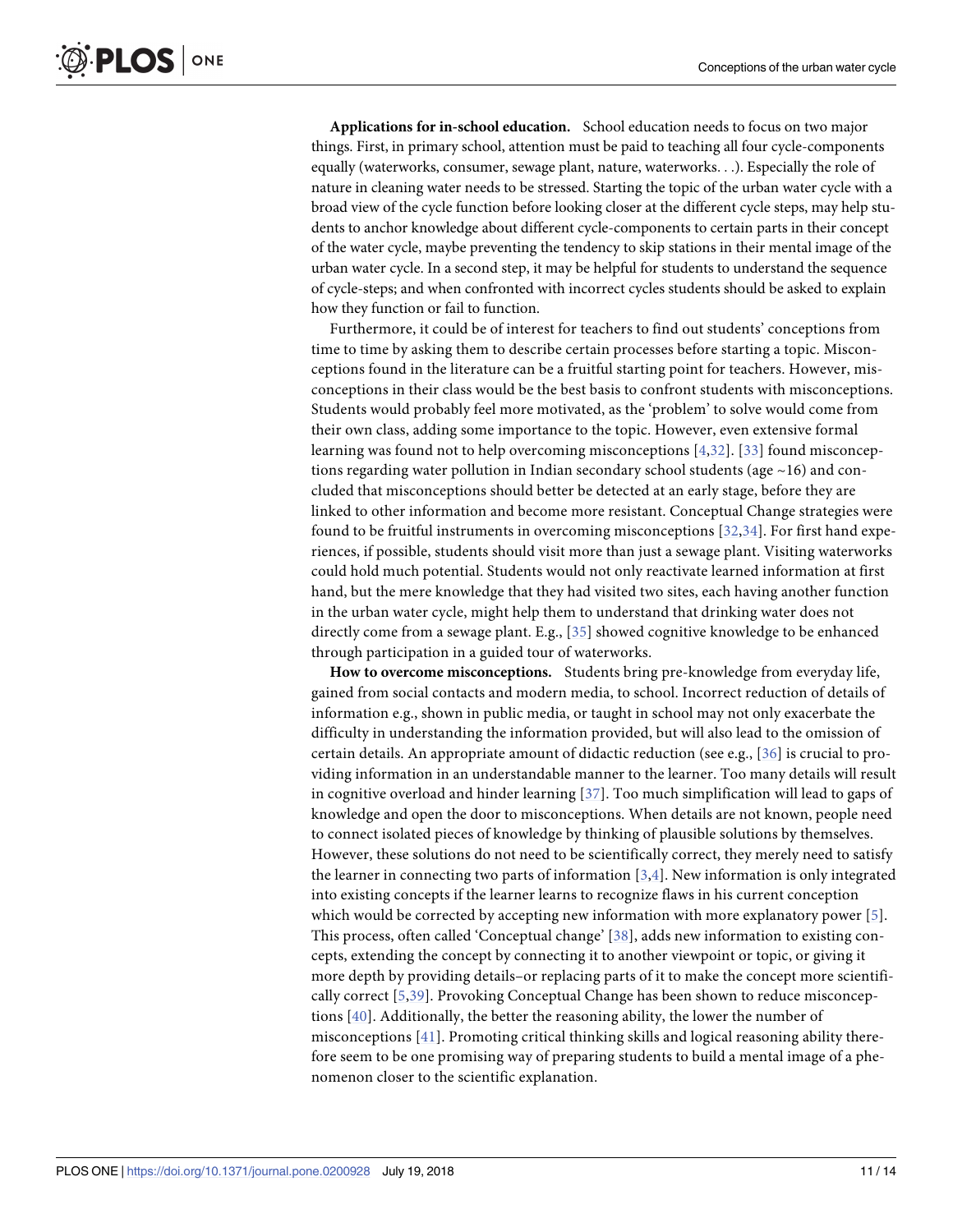<span id="page-10-0"></span>**Applications for in-school education.** School education needs to focus on two major things. First, in primary school, attention must be paid to teaching all four cycle-components equally (waterworks, consumer, sewage plant, nature, waterworks. . .). Especially the role of nature in cleaning water needs to be stressed. Starting the topic of the urban water cycle with a broad view of the cycle function before looking closer at the different cycle steps, may help students to anchor knowledge about different cycle-components to certain parts in their concept of the water cycle, maybe preventing the tendency to skip stations in their mental image of the urban water cycle. In a second step, it may be helpful for students to understand the sequence of cycle-steps; and when confronted with incorrect cycles students should be asked to explain how they function or fail to function.

Furthermore, it could be of interest for teachers to find out students' conceptions from time to time by asking them to describe certain processes before starting a topic. Misconceptions found in the literature can be a fruitful starting point for teachers. However, misconceptions in their class would be the best basis to confront students with misconceptions. Students would probably feel more motivated, as the 'problem' to solve would come from their own class, adding some importance to the topic. However, even extensive formal learning was found not to help overcoming misconceptions [\[4](#page-11-0)[,32](#page-12-0)]. [[33\]](#page-12-0) found misconceptions regarding water pollution in Indian secondary school students (age  $\sim$ 16) and concluded that misconceptions should better be detected at an early stage, before they are linked to other information and become more resistant. Conceptual Change strategies were found to be fruitful instruments in overcoming misconceptions [[32,34\]](#page-12-0). For first hand experiences, if possible, students should visit more than just a sewage plant. Visiting waterworks could hold much potential. Students would not only reactivate learned information at first hand, but the mere knowledge that they had visited two sites, each having another function in the urban water cycle, might help them to understand that drinking water does not directly come from a sewage plant. E.g., [\[35](#page-12-0)] showed cognitive knowledge to be enhanced through participation in a guided tour of waterworks.

**How to overcome misconceptions.** Students bring pre-knowledge from everyday life, gained from social contacts and modern media, to school. Incorrect reduction of details of information e.g., shown in public media, or taught in school may not only exacerbate the difficulty in understanding the information provided, but will also lead to the omission of certain details. An appropriate amount of didactic reduction (see e.g., [[36](#page-13-0)] is crucial to providing information in an understandable manner to the learner. Too many details will result in cognitive overload and hinder learning [[37\]](#page-13-0). Too much simplification will lead to gaps of knowledge and open the door to misconceptions. When details are not known, people need to connect isolated pieces of knowledge by thinking of plausible solutions by themselves. However, these solutions do not need to be scientifically correct, they merely need to satisfy the learner in connecting two parts of information  $[3,4]$  $[3,4]$  $[3,4]$  $[3,4]$ . New information is only integrated into existing concepts if the learner learns to recognize flaws in his current conception which would be corrected by accepting new information with more explanatory power [[5\]](#page-11-0). This process, often called 'Conceptual change' [\[38\]](#page-13-0), adds new information to existing concepts, extending the concept by connecting it to another viewpoint or topic, or giving it more depth by providing details–or replacing parts of it to make the concept more scientifically correct [[5,](#page-11-0)[39\]](#page-13-0). Provoking Conceptual Change has been shown to reduce misconceptions [\[40\]](#page-13-0). Additionally, the better the reasoning ability, the lower the number of misconceptions [\[41](#page-13-0)]. Promoting critical thinking skills and logical reasoning ability therefore seem to be one promising way of preparing students to build a mental image of a phenomenon closer to the scientific explanation.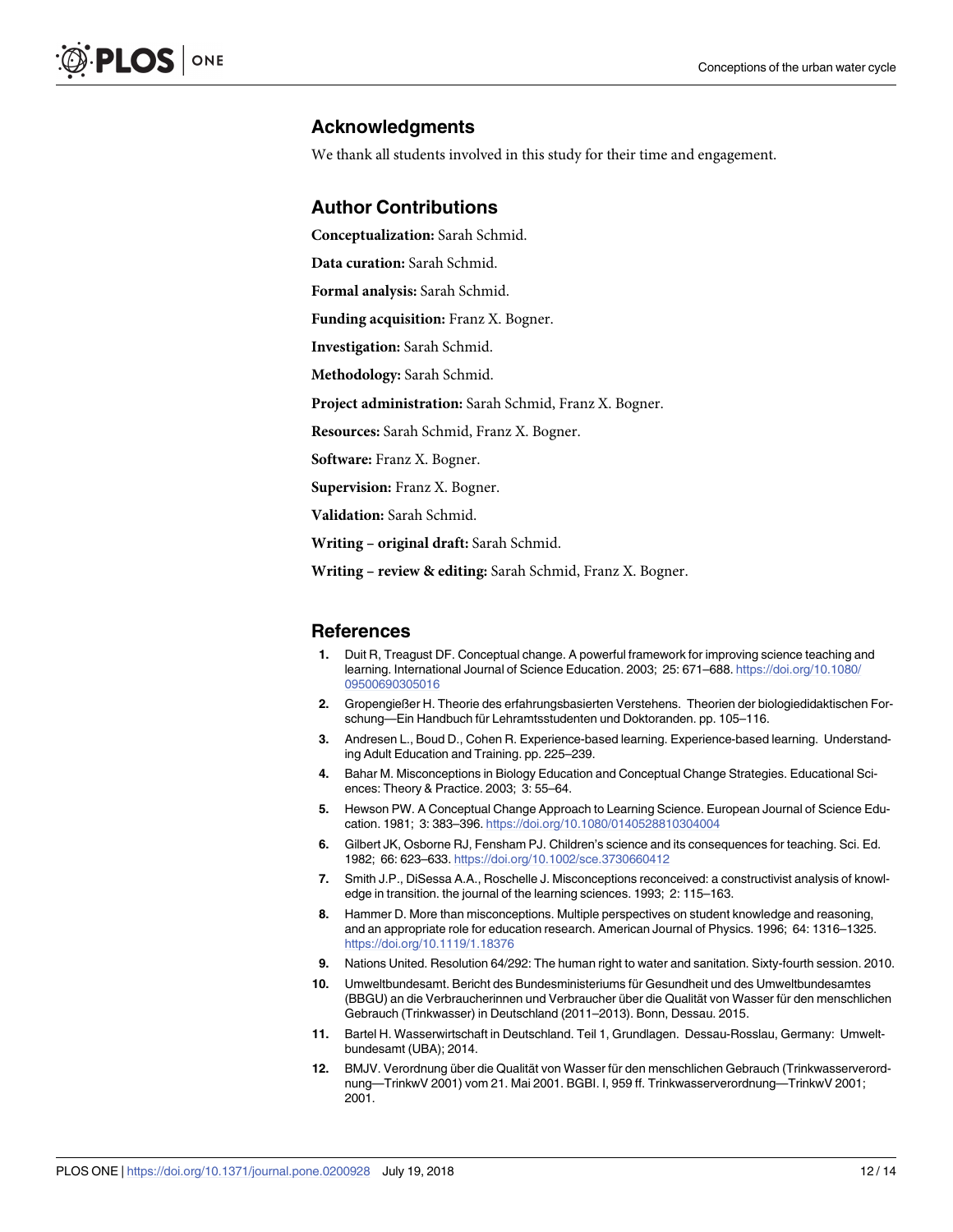## <span id="page-11-0"></span>**Acknowledgments**

We thank all students involved in this study for their time and engagement.

### **Author Contributions**

**Conceptualization:** Sarah Schmid.

**Data curation:** Sarah Schmid.

**Formal analysis:** Sarah Schmid.

**Funding acquisition:** Franz X. Bogner.

**Investigation:** Sarah Schmid.

**Methodology:** Sarah Schmid.

**Project administration:** Sarah Schmid, Franz X. Bogner.

**Resources:** Sarah Schmid, Franz X. Bogner.

**Software:** Franz X. Bogner.

**Supervision:** Franz X. Bogner.

**Validation:** Sarah Schmid.

**Writing – original draft:** Sarah Schmid.

**Writing – review & editing:** Sarah Schmid, Franz X. Bogner.

#### **References**

- **[1](#page-0-0).** Duit R, Treagust DF. Conceptual change. A powerful framework for improving science teaching and learning. International Journal of Science Education. 2003; 25: 671–688. [https://doi.org/10.1080/](https://doi.org/10.1080/09500690305016) [09500690305016](https://doi.org/10.1080/09500690305016)
- **2.** Gropengießer H. Theorie des erfahrungsbasierten Verstehens. Theorien der biologiedidaktischen Forschung—Ein Handbuch für Lehramtsstudenten und Doktoranden. pp. 105–116.
- **[3](#page-0-0).** Andresen L., Boud D., Cohen R. Experience-based learning. Experience-based learning. Understanding Adult Education and Training. pp. 225–239.
- **[4](#page-0-0).** Bahar M. Misconceptions in Biology Education and Conceptual Change Strategies. Educational Sciences: Theory & Practice. 2003; 3: 55–64.
- **[5](#page-1-0).** Hewson PW. A Conceptual Change Approach to Learning Science. European Journal of Science Education. 1981; 3: 383–396. <https://doi.org/10.1080/0140528810304004>
- **[6](#page-1-0).** Gilbert JK, Osborne RJ, Fensham PJ. Children's science and its consequences for teaching. Sci. Ed. 1982; 66: 623–633. <https://doi.org/10.1002/sce.3730660412>
- **[7](#page-1-0).** Smith J.P., DiSessa A.A., Roschelle J. Misconceptions reconceived: a constructivist analysis of knowledge in transition. the journal of the learning sciences. 1993; 2: 115–163.
- **[8](#page-1-0).** Hammer D. More than misconceptions. Multiple perspectives on student knowledge and reasoning, and an appropriate role for education research. American Journal of Physics. 1996; 64: 1316–1325. <https://doi.org/10.1119/1.18376>
- **[9](#page-1-0).** Nations United. Resolution 64/292: The human right to water and sanitation. Sixty-fourth session. 2010.
- [10](#page-1-0). Umweltbundesamt. Bericht des Bundesministeriums für Gesundheit und des Umweltbundesamtes (BBGU) an die Verbraucherinnen und Verbraucher über die Qualität von Wasser für den menschlichen Gebrauch (Trinkwasser) in Deutschland (2011–2013). Bonn, Dessau. 2015.
- **[11](#page-1-0).** Bartel H. Wasserwirtschaft in Deutschland. Teil 1, Grundlagen. Dessau-Rosslau, Germany: Umweltbundesamt (UBA); 2014.
- [12](#page-1-0). BMJV. Verordnung über die Qualität von Wasser für den menschlichen Gebrauch (Trinkwasserverordnung—TrinkwV 2001) vom 21. Mai 2001. BGBI. I, 959 ff. Trinkwasserverordnung—TrinkwV 2001; 2001.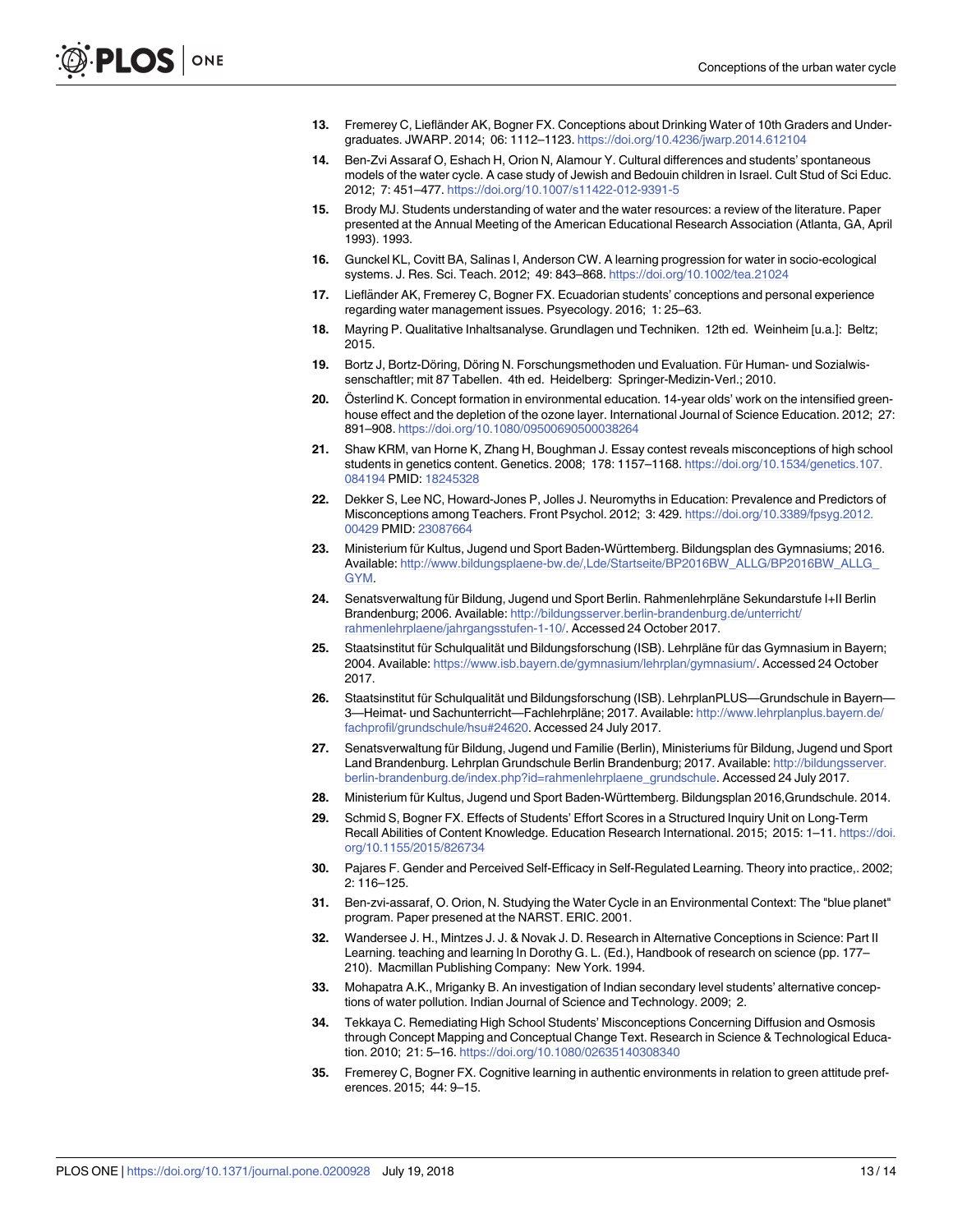- <span id="page-12-0"></span>**[13](#page-1-0).** Fremerey C, Liefländer AK, Bogner FX. Conceptions about Drinking Water of 10th Graders and Undergraduates. JWARP. 2014; 06: 1112–1123. <https://doi.org/10.4236/jwarp.2014.612104>
- **[14](#page-1-0).** Ben-Zvi Assaraf O, Eshach H, Orion N, Alamour Y. Cultural differences and students' spontaneous models of the water cycle. A case study of Jewish and Bedouin children in Israel. Cult Stud of Sci Educ. 2012; 7: 451–477. <https://doi.org/10.1007/s11422-012-9391-5>
- **[15](#page-1-0).** Brody MJ. Students understanding of water and the water resources: a review of the literature. Paper presented at the Annual Meeting of the American Educational Research Association (Atlanta, GA, April 1993). 1993.
- **[16](#page-1-0).** Gunckel KL, Covitt BA, Salinas I, Anderson CW. A learning progression for water in socio-ecological systems. J. Res. Sci. Teach. 2012; 49: 843–868. <https://doi.org/10.1002/tea.21024>
- **[17](#page-1-0).** Liefländer AK, Fremerey C, Bogner FX. Ecuadorian students' conceptions and personal experience regarding water management issues. Psyecology. 2016; 1: 25–63.
- **[18](#page-2-0).** Mayring P. Qualitative Inhaltsanalyse. Grundlagen und Techniken. 12th ed. Weinheim [u.a.]: Beltz; 2015.
- **[19](#page-2-0).** Bortz J, Bortz-Döring, Döring N. Forschungsmethoden und Evaluation. Für Human- und Sozialwissenschaftler; mit 87 Tabellen. 4th ed. Heidelberg: Springer-Medizin-Verl.; 2010.
- **[20](#page-7-0).** Österlind K. Concept formation in environmental education. 14-year olds' work on the intensified greenhouse effect and the depletion of the ozone layer. International Journal of Science Education. 2012; 27: 891–908. <https://doi.org/10.1080/09500690500038264>
- **[21](#page-7-0).** Shaw KRM, van Horne K, Zhang H, Boughman J. Essay contest reveals misconceptions of high school students in genetics content. Genetics. 2008; 178: 1157–1168. [https://doi.org/10.1534/genetics.107.](https://doi.org/10.1534/genetics.107.084194) [084194](https://doi.org/10.1534/genetics.107.084194) PMID: [18245328](http://www.ncbi.nlm.nih.gov/pubmed/18245328)
- **[22](#page-7-0).** Dekker S, Lee NC, Howard-Jones P, Jolles J. Neuromyths in Education: Prevalence and Predictors of Misconceptions among Teachers. Front Psychol. 2012; 3: 429. [https://doi.org/10.3389/fpsyg.2012.](https://doi.org/10.3389/fpsyg.2012.00429) [00429](https://doi.org/10.3389/fpsyg.2012.00429) PMID: [23087664](http://www.ncbi.nlm.nih.gov/pubmed/23087664)
- **[23](#page-7-0).** Ministerium für Kultus, Jugend und Sport Baden-Württemberg. Bildungsplan des Gymnasiums; 2016. Available: [http://www.bildungsplaene-bw.de/,Lde/Startseite/BP2016BW\\_ALLG/BP2016BW\\_ALLG\\_](http://www.bildungsplaene-bw.de/,Lde/Startseite/BP2016BW_ALLG/BP2016BW_ALLG_GYM) [GYM.](http://www.bildungsplaene-bw.de/,Lde/Startseite/BP2016BW_ALLG/BP2016BW_ALLG_GYM)
- 24. Senatsverwaltung für Bildung, Jugend und Sport Berlin. Rahmenlehrpläne Sekundarstufe I+II Berlin Brandenburg; 2006. Available: [http://bildungsserver.berlin-brandenburg.de/unterricht/](http://bildungsserver.berlin-brandenburg.de/unterricht/rahmenlehrplaene/jahrgangsstufen-1-10/) [rahmenlehrplaene/jahrgangsstufen-1-10/](http://bildungsserver.berlin-brandenburg.de/unterricht/rahmenlehrplaene/jahrgangsstufen-1-10/). Accessed 24 October 2017.
- **[25](#page-7-0).** Staatsinstitut für Schulqualität und Bildungsforschung (ISB). Lehrpläne für das Gymnasium in Bayern; 2004. Available: <https://www.isb.bayern.de/gymnasium/lehrplan/gymnasium/>. Accessed 24 October 2017.
- **[26](#page-7-0).** Staatsinstitut für Schulqualität und Bildungsforschung (ISB). LehrplanPLUS—Grundschule in Bayern 3—Heimat- und Sachunterricht—Fachlehrpläne; 2017. Available: [http://www.lehrplanplus.bayern.de/](http://www.lehrplanplus.bayern.de/fachprofil/grundschule/hsu#24620) [fachprofil/grundschule/hsu#24620](http://www.lehrplanplus.bayern.de/fachprofil/grundschule/hsu#24620). Accessed 24 July 2017.
- 27. Senatsverwaltung für Bildung, Jugend und Familie (Berlin), Ministeriums für Bildung, Jugend und Sport Land Brandenburg. Lehrplan Grundschule Berlin Brandenburg; 2017. Available: [http://bildungsserver.](http://bildungsserver.berlin-brandenburg.de/index.php?id=rahmenlehrplaene_grundschule) [berlin-brandenburg.de/index.php?id=rahmenlehrplaene\\_grundschule](http://bildungsserver.berlin-brandenburg.de/index.php?id=rahmenlehrplaene_grundschule). Accessed 24 July 2017.
- **[28](#page-7-0).** Ministerium für Kultus, Jugend und Sport Baden-Württemberg. Bildungsplan 2016, Grundschule. 2014.
- **[29](#page-9-0).** Schmid S, Bogner FX. Effects of Students' Effort Scores in a Structured Inquiry Unit on Long-Term Recall Abilities of Content Knowledge. Education Research International. 2015; 2015: 1–11. [https://doi.](https://doi.org/10.1155/2015/826734) [org/10.1155/2015/826734](https://doi.org/10.1155/2015/826734)
- **[30](#page-9-0).** Pajares F. Gender and Perceived Self-Efficacy in Self-Regulated Learning. Theory into practice,. 2002; 2: 116–125.
- **[31](#page-9-0).** Ben-zvi-assaraf, O. Orion, N. Studying the Water Cycle in an Environmental Context: The "blue planet" program. Paper presened at the NARST. ERIC. 2001.
- **[32](#page-10-0).** Wandersee J. H., Mintzes J. J. & Novak J. D. Research in Alternative Conceptions in Science: Part II Learning. teaching and learning In Dorothy G. L. (Ed.), Handbook of research on science (pp. 177– 210). Macmillan Publishing Company: New York. 1994.
- **[33](#page-10-0).** Mohapatra A.K., Mriganky B. An investigation of Indian secondary level students' alternative conceptions of water pollution. Indian Journal of Science and Technology. 2009; 2.
- **[34](#page-10-0).** Tekkaya C. Remediating High School Students' Misconceptions Concerning Diffusion and Osmosis through Concept Mapping and Conceptual Change Text. Research in Science & Technological Education. 2010; 21: 5–16. <https://doi.org/10.1080/02635140308340>
- **[35](#page-10-0).** Fremerey C, Bogner FX. Cognitive learning in authentic environments in relation to green attitude preferences. 2015; 44: 9–15.